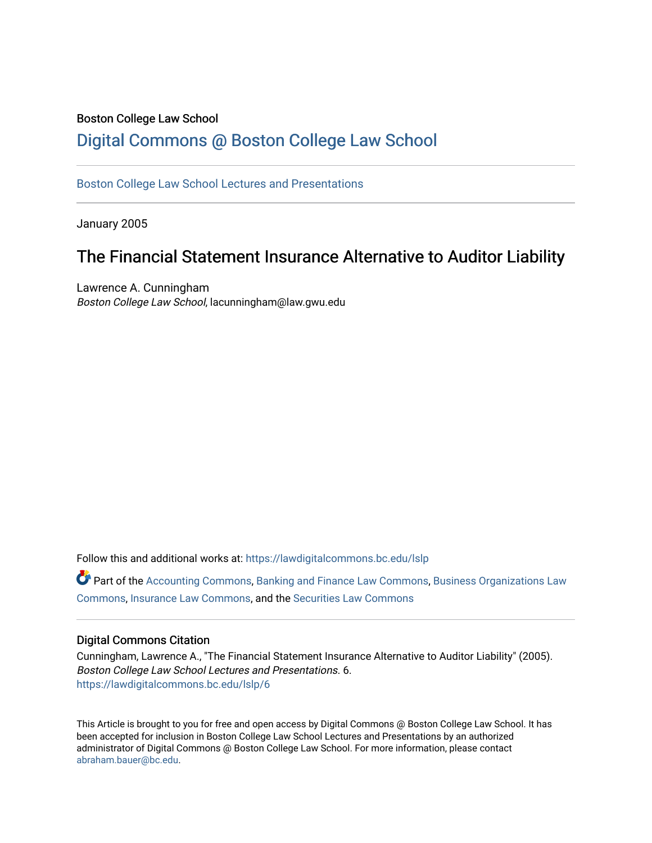## Boston College Law School [Digital Commons @ Boston College Law School](https://lawdigitalcommons.bc.edu/)

[Boston College Law School Lectures and Presentations](https://lawdigitalcommons.bc.edu/lslp) 

January 2005

# The Financial Statement Insurance Alternative to Auditor Liability

Lawrence A. Cunningham Boston College Law School, lacunningham@law.gwu.edu

Follow this and additional works at: [https://lawdigitalcommons.bc.edu/lslp](https://lawdigitalcommons.bc.edu/lslp?utm_source=lawdigitalcommons.bc.edu%2Flslp%2F6&utm_medium=PDF&utm_campaign=PDFCoverPages) 

Part of the [Accounting Commons](http://network.bepress.com/hgg/discipline/625?utm_source=lawdigitalcommons.bc.edu%2Flslp%2F6&utm_medium=PDF&utm_campaign=PDFCoverPages), [Banking and Finance Law Commons,](http://network.bepress.com/hgg/discipline/833?utm_source=lawdigitalcommons.bc.edu%2Flslp%2F6&utm_medium=PDF&utm_campaign=PDFCoverPages) [Business Organizations Law](http://network.bepress.com/hgg/discipline/900?utm_source=lawdigitalcommons.bc.edu%2Flslp%2F6&utm_medium=PDF&utm_campaign=PDFCoverPages) [Commons](http://network.bepress.com/hgg/discipline/900?utm_source=lawdigitalcommons.bc.edu%2Flslp%2F6&utm_medium=PDF&utm_campaign=PDFCoverPages), [Insurance Law Commons,](http://network.bepress.com/hgg/discipline/607?utm_source=lawdigitalcommons.bc.edu%2Flslp%2F6&utm_medium=PDF&utm_campaign=PDFCoverPages) and the [Securities Law Commons](http://network.bepress.com/hgg/discipline/619?utm_source=lawdigitalcommons.bc.edu%2Flslp%2F6&utm_medium=PDF&utm_campaign=PDFCoverPages) 

#### Digital Commons Citation

Cunningham, Lawrence A., "The Financial Statement Insurance Alternative to Auditor Liability" (2005). Boston College Law School Lectures and Presentations. 6. [https://lawdigitalcommons.bc.edu/lslp/6](https://lawdigitalcommons.bc.edu/lslp/6?utm_source=lawdigitalcommons.bc.edu%2Flslp%2F6&utm_medium=PDF&utm_campaign=PDFCoverPages) 

This Article is brought to you for free and open access by Digital Commons @ Boston College Law School. It has been accepted for inclusion in Boston College Law School Lectures and Presentations by an authorized administrator of Digital Commons @ Boston College Law School. For more information, please contact [abraham.bauer@bc.edu.](mailto:abraham.bauer@bc.edu)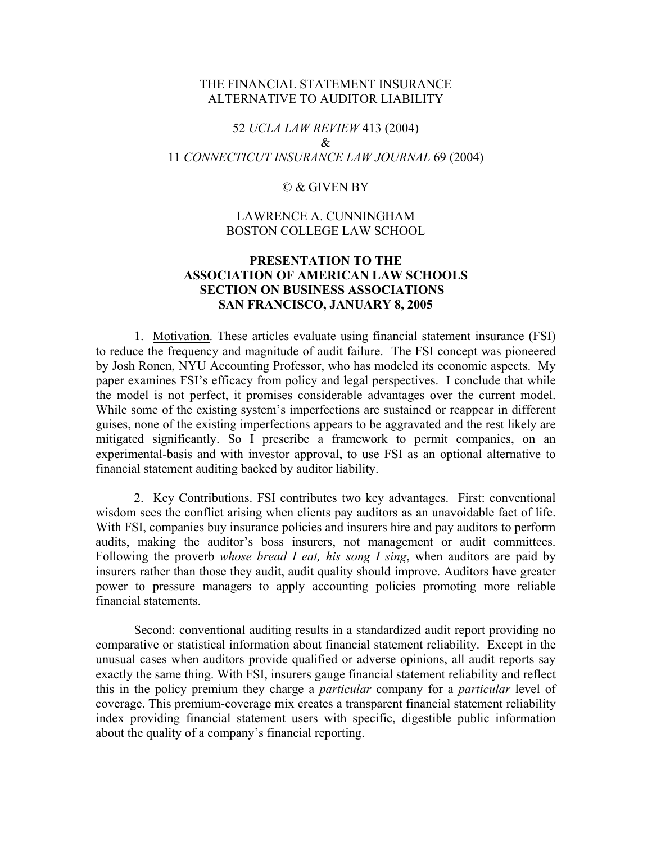#### THE FINANCIAL STATEMENT INSURANCE ALTERNATIVE TO AUDITOR LIABILITY

## 52 *UCLA LAW REVIEW* 413 (2004)  $\mathcal{R}_{\mathcal{L}}$ 11 *CONNECTICUT INSURANCE LAW JOURNAL* 69 (2004)

#### © & GIVEN BY

### LAWRENCE A. CUNNINGHAM BOSTON COLLEGE LAW SCHOOL

## **PRESENTATION TO THE ASSOCIATION OF AMERICAN LAW SCHOOLS SECTION ON BUSINESS ASSOCIATIONS SAN FRANCISCO, JANUARY 8, 2005**

 1. Motivation. These articles evaluate using financial statement insurance (FSI) to reduce the frequency and magnitude of audit failure. The FSI concept was pioneered by Josh Ronen, NYU Accounting Professor, who has modeled its economic aspects. My paper examines FSI's efficacy from policy and legal perspectives. I conclude that while the model is not perfect, it promises considerable advantages over the current model. While some of the existing system's imperfections are sustained or reappear in different guises, none of the existing imperfections appears to be aggravated and the rest likely are mitigated significantly. So I prescribe a framework to permit companies, on an experimental-basis and with investor approval, to use FSI as an optional alternative to financial statement auditing backed by auditor liability.

 2. Key Contributions. FSI contributes two key advantages. First: conventional wisdom sees the conflict arising when clients pay auditors as an unavoidable fact of life. With FSI, companies buy insurance policies and insurers hire and pay auditors to perform audits, making the auditor's boss insurers, not management or audit committees. Following the proverb *whose bread I eat, his song I sing*, when auditors are paid by insurers rather than those they audit, audit quality should improve. Auditors have greater power to pressure managers to apply accounting policies promoting more reliable financial statements.

 Second: conventional auditing results in a standardized audit report providing no comparative or statistical information about financial statement reliability. Except in the unusual cases when auditors provide qualified or adverse opinions, all audit reports say exactly the same thing. With FSI, insurers gauge financial statement reliability and reflect this in the policy premium they charge a *particular* company for a *particular* level of coverage. This premium-coverage mix creates a transparent financial statement reliability index providing financial statement users with specific, digestible public information about the quality of a company's financial reporting.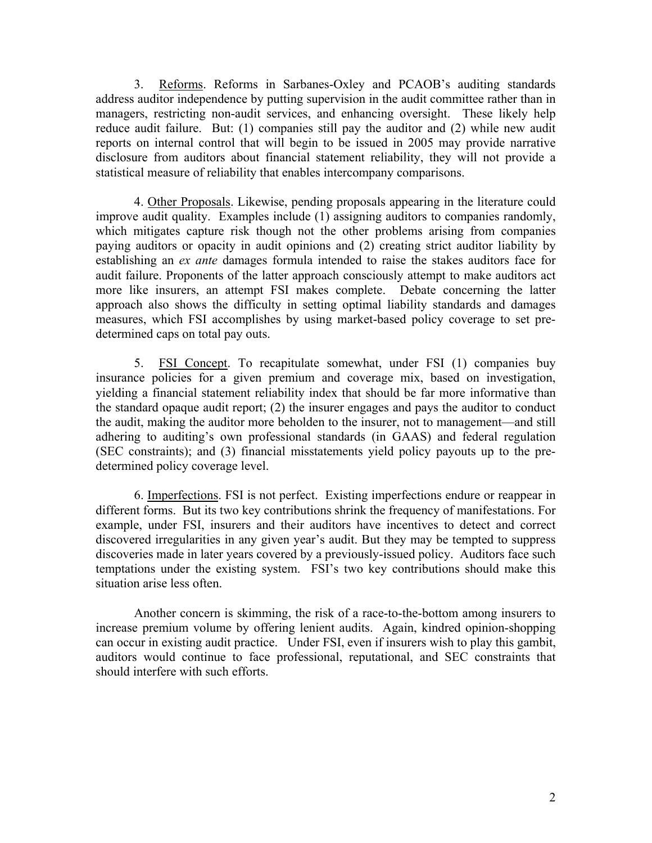3. Reforms. Reforms in Sarbanes-Oxley and PCAOB's auditing standards address auditor independence by putting supervision in the audit committee rather than in managers, restricting non-audit services, and enhancing oversight. These likely help reduce audit failure. But: (1) companies still pay the auditor and (2) while new audit reports on internal control that will begin to be issued in 2005 may provide narrative disclosure from auditors about financial statement reliability, they will not provide a statistical measure of reliability that enables intercompany comparisons.

4. Other Proposals. Likewise, pending proposals appearing in the literature could improve audit quality. Examples include (1) assigning auditors to companies randomly, which mitigates capture risk though not the other problems arising from companies paying auditors or opacity in audit opinions and (2) creating strict auditor liability by establishing an *ex ante* damages formula intended to raise the stakes auditors face for audit failure. Proponents of the latter approach consciously attempt to make auditors act more like insurers, an attempt FSI makes complete. Debate concerning the latter approach also shows the difficulty in setting optimal liability standards and damages measures, which FSI accomplishes by using market-based policy coverage to set predetermined caps on total pay outs.

5. FSI Concept. To recapitulate somewhat, under FSI (1) companies buy insurance policies for a given premium and coverage mix, based on investigation, yielding a financial statement reliability index that should be far more informative than the standard opaque audit report; (2) the insurer engages and pays the auditor to conduct the audit, making the auditor more beholden to the insurer, not to management—and still adhering to auditing's own professional standards (in GAAS) and federal regulation (SEC constraints); and (3) financial misstatements yield policy payouts up to the predetermined policy coverage level.

6. Imperfections. FSI is not perfect. Existing imperfections endure or reappear in different forms. But its two key contributions shrink the frequency of manifestations. For example, under FSI, insurers and their auditors have incentives to detect and correct discovered irregularities in any given year's audit. But they may be tempted to suppress discoveries made in later years covered by a previously-issued policy. Auditors face such temptations under the existing system. FSI's two key contributions should make this situation arise less often.

Another concern is skimming, the risk of a race-to-the-bottom among insurers to increase premium volume by offering lenient audits. Again, kindred opinion-shopping can occur in existing audit practice. Under FSI, even if insurers wish to play this gambit, auditors would continue to face professional, reputational, and SEC constraints that should interfere with such efforts.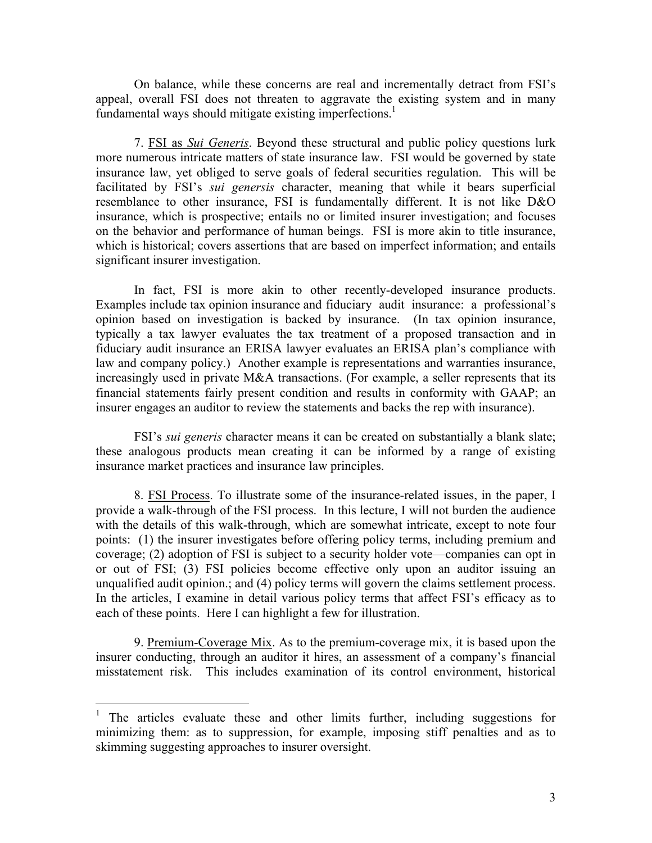On balance, while these concerns are real and incrementally detract from FSI's appeal, overall FSI does not threaten to aggravate the existing system and in many fundamental ways should mitigate existing imperfections.<sup>1</sup>

7. FSI as *Sui Generis*. Beyond these structural and public policy questions lurk more numerous intricate matters of state insurance law. FSI would be governed by state insurance law, yet obliged to serve goals of federal securities regulation. This will be facilitated by FSI's *sui genersis* character, meaning that while it bears superficial resemblance to other insurance, FSI is fundamentally different. It is not like D&O insurance, which is prospective; entails no or limited insurer investigation; and focuses on the behavior and performance of human beings. FSI is more akin to title insurance, which is historical; covers assertions that are based on imperfect information; and entails significant insurer investigation.

In fact, FSI is more akin to other recently-developed insurance products. Examples include tax opinion insurance and fiduciary audit insurance: a professional's opinion based on investigation is backed by insurance. (In tax opinion insurance, typically a tax lawyer evaluates the tax treatment of a proposed transaction and in fiduciary audit insurance an ERISA lawyer evaluates an ERISA plan's compliance with law and company policy.) Another example is representations and warranties insurance, increasingly used in private M&A transactions. (For example, a seller represents that its financial statements fairly present condition and results in conformity with GAAP; an insurer engages an auditor to review the statements and backs the rep with insurance).

 FSI's *sui generis* character means it can be created on substantially a blank slate; these analogous products mean creating it can be informed by a range of existing insurance market practices and insurance law principles.

8. FSI Process. To illustrate some of the insurance-related issues, in the paper, I provide a walk-through of the FSI process. In this lecture, I will not burden the audience with the details of this walk-through, which are somewhat intricate, except to note four points: (1) the insurer investigates before offering policy terms, including premium and coverage; (2) adoption of FSI is subject to a security holder vote—companies can opt in or out of FSI; (3) FSI policies become effective only upon an auditor issuing an unqualified audit opinion.; and (4) policy terms will govern the claims settlement process. In the articles, I examine in detail various policy terms that affect FSI's efficacy as to each of these points. Here I can highlight a few for illustration.

9. Premium-Coverage Mix. As to the premium-coverage mix, it is based upon the insurer conducting, through an auditor it hires, an assessment of a company's financial misstatement risk. This includes examination of its control environment, historical

<span id="page-3-0"></span><sup>&</sup>lt;sup>1</sup> The articles evaluate these and other limits further, including suggestions for minimizing them: as to suppression, for example, imposing stiff penalties and as to skimming suggesting approaches to insurer oversight.